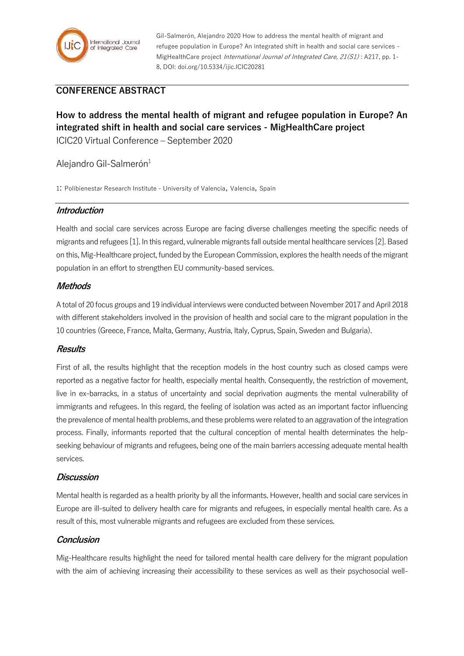

Gil-Salmerón, Alejandro 2020 How to address the mental health of migrant and refugee population in Europe? An integrated shift in health and social care services - MigHealthCare project *International Journal of Integrated Care, 21(S1)*: A217, pp. 1-8, DOI: doi.org/10.5334/ijic.ICIC20281

# **CONFERENCE ABSTRACT**

**How to address the mental health of migrant and refugee population in Europe? An integrated shift in health and social care services - MigHealthCare project** ICIC20 Virtual Conference – September 2020

# Alejandro Gil-Salmerón<sup>1</sup>

1: Polibienestar Research Institute - University of Valencia, Valencia, Spain

### **Introduction**

Health and social care services across Europe are facing diverse challenges meeting the specific needs of migrants and refugees [1]. In this regard, vulnerable migrants fall outside mental healthcare services [2]. Based on this, Mig-Healthcare project, funded by the European Commission, explores the health needs of the migrant population in an effort to strengthen EU community-based services.

# **Methods**

A total of 20 focus groups and 19 individual interviews were conducted between November 2017 and April 2018 with different stakeholders involved in the provision of health and social care to the migrant population in the 10 countries (Greece, France, Malta, Germany, Austria, Italy, Cyprus, Spain, Sweden and Bulgaria).

#### **Results**

First of all, the results highlight that the reception models in the host country such as closed camps were reported as a negative factor for health, especially mental health. Consequently, the restriction of movement, live in ex-barracks, in a status of uncertainty and social deprivation augments the mental vulnerability of immigrants and refugees. In this regard, the feeling of isolation was acted as an important factor influencing the prevalence of mental health problems, and these problems were related to an aggravation of the integration process. Finally, informants reported that the cultural conception of mental health determinates the helpseeking behaviour of migrants and refugees, being one of the main barriers accessing adequate mental health services.

#### **Discussion**

Mental health is regarded as a health priority by all the informants. However, health and social care services in Europe are ill-suited to delivery health care for migrants and refugees, in especially mental health care. As a result of this, most vulnerable migrants and refugees are excluded from these services.

#### **Conclusion**

Mig-Healthcare results highlight the need for tailored mental health care delivery for the migrant population with the aim of achieving increasing their accessibility to these services as well as their psychosocial well